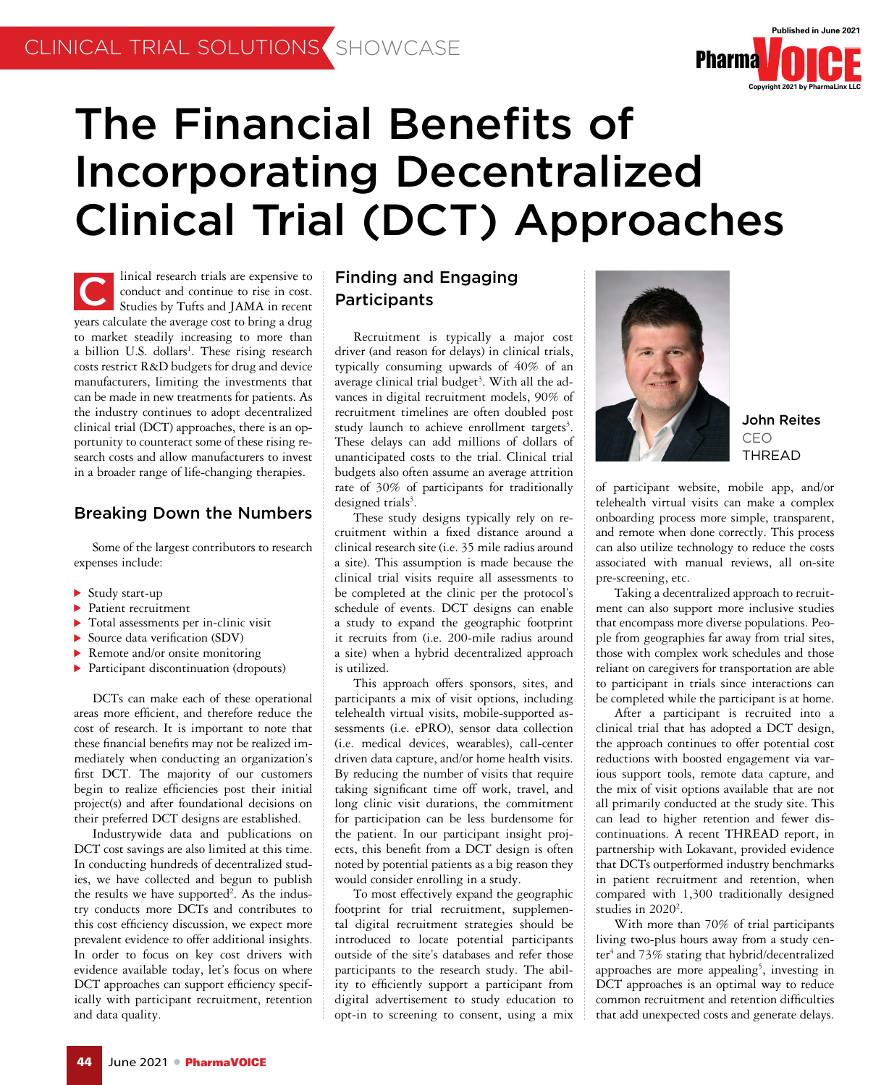

# The Financial Benefits of Incorporating Decentralized Clinical Trial (DCT) Approaches

linical research trials are expensive to conduct and continue to rise in cost. Studies by Tufts and JAMA in recent years calculate the average cost to bring a drug to market steadily increasing to more than a billion U.S. dollars<sup>1</sup>. These rising research costs restrict R&D budgets for drug and device manufacturers, limiting the investments that can be made in new treatments for patients. As the industry continues to adopt decentralized clinical trial (DCT) approaches, there is an opportunity to counteract some of these rising research costs and allow manufacturers to invest in a broader range of life-changing therapies. C

### Breaking Down the Numbers

Some of the largest contributors to research expenses include:

- $\triangleright$  Study start-up
- **Patient recruitment**
- Total assessments per in-clinic visit
- Source data verification (SDV)
- Remote and/or onsite monitoring
- Participant discontinuation (dropouts)

DCTs can make each of these operational areas more efficient, and therefore reduce the cost of research. It is important to note that these financial benefits may not be realized immediately when conducting an organization's first DCT. The majority of our customers begin to realize efficiencies post their initial project(s) and after foundational decisions on their preferred DCT designs are established.

Industrywide data and publications on DCT cost savings are also limited at this time. In conducting hundreds of decentralized studies, we have collected and begun to publish the results we have supported<sup>2</sup>. As the industry conducts more DCTs and contributes to this cost efficiency discussion, we expect more prevalent evidence to offer additional insights. In order to focus on key cost drivers with evidence available today, let's focus on where DCT approaches can support efficiency specifically with participant recruitment, retention and data quality.

# Finding and Engaging Participants

Recruitment is typically a major cost driver (and reason for delays) in clinical trials, typically consuming upwards of 40% of an average clinical trial budget<sup>3</sup>. With all the advances in digital recruitment models, 90% of recruitment timelines are often doubled post study launch to achieve enrollment targets<sup>3</sup>. These delays can add millions of dollars of unanticipated costs to the trial. Clinical trial budgets also often assume an average attrition rate of 30% of participants for traditionally designed trials<sup>3</sup>.

These study designs typically rely on recruitment within a fixed distance around a clinical research site (i.e. 35 mile radius around a site). This assumption is made because the clinical trial visits require all assessments to be completed at the clinic per the protocol's schedule of events. DCT designs can enable a study to expand the geographic footprint it recruits from (i.e. 200-mile radius around a site) when a hybrid decentralized approach is utilized.

This approach offers sponsors, sites, and participants a mix of visit options, including telehealth virtual visits, mobile-supported assessments (i.e. ePRO), sensor data collection (i.e. medical devices, wearables), call-center driven data capture, and/or home health visits. By reducing the number of visits that require taking significant time off work, travel, and long clinic visit durations, the commitment for participation can be less burdensome for the patient. In our participant insight projects, this benefit from a DCT design is often noted by potential patients as a big reason they would consider enrolling in a study.

To most effectively expand the geographic footprint for trial recruitment, supplemental digital recruitment strategies should be introduced to locate potential participants outside of the site's databases and refer those participants to the research study. The ability to efficiently support a participant from digital advertisement to study education to opt-in to screening to consent, using a mix



John Reites CEO THREAD

of participant website, mobile app, and/or telehealth virtual visits can make a complex onboarding process more simple, transparent, and remote when done correctly. This process can also utilize technology to reduce the costs associated with manual reviews, all on-site pre-screening, etc.

Taking a decentralized approach to recruitment can also support more inclusive studies that encompass more diverse populations. People from geographies far away from trial sites, those with complex work schedules and those reliant on caregivers for transportation are able to participant in trials since interactions can be completed while the participant is at home.

After a participant is recruited into a clinical trial that has adopted a DCT design, the approach continues to offer potential cost reductions with boosted engagement via various support tools, remote data capture, and the mix of visit options available that are not all primarily conducted at the study site. This can lead to higher retention and fewer discontinuations. A recent THREAD report, in partnership with Lokavant, provided evidence that DCTs outperformed industry benchmarks in patient recruitment and retention, when compared with 1,300 traditionally designed studies in  $2020^2$ .

With more than 70% of trial participants living two-plus hours away from a study center<sup>4</sup> and 73% stating that hybrid/decentralized approaches are more appealing<sup>5</sup>, investing in DCT approaches is an optimal way to reduce common recruitment and retention difficulties that add unexpected costs and generate delays.